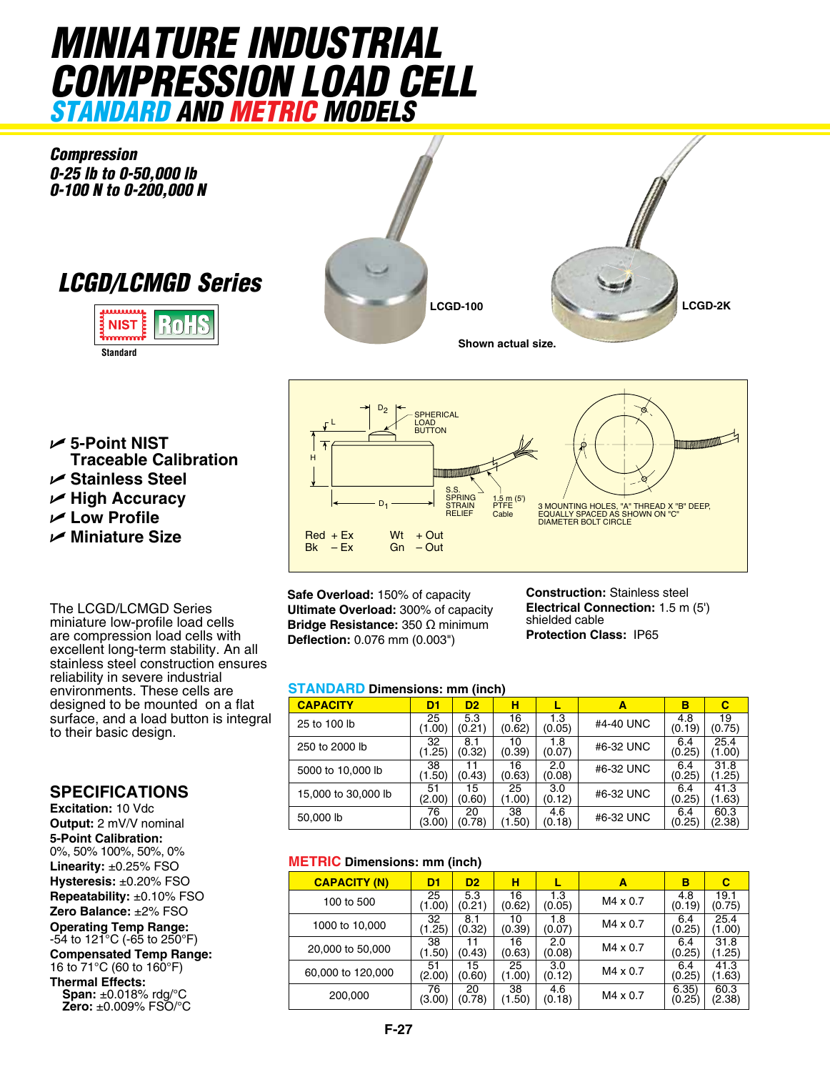# *MiNIATURE INDUSTRIAL COMPRESSION LOAD CELL standard and metric models*

*Compression 0-25 lb to 0-50,000 lb 0-100 N to 0-200,000 N*

*LCGD/LCMGD Series*





U **5-Point NIST  Traceable Calibration** U **Stainless Steel** U **High Accuracy**

U **Low Profile**

U **Miniature Size**

The LCGD/LCMGD Series miniature low-profile load cells are compression load cells with excellent long-term stability. An all stainless steel construction ensures reliability in severe industrial environments. These cells are designed to be mounted on a flat surface, and a load button is integral to their basic design.

### **SPECIFICATIONS**

**Excitation:** 10 Vdc **Output:** 2 mV/V nominal **5-Point Calibration:** 0%, 50% 100%, 50%, 0% **Linearity:** ±0.25% FSO **Hysteresis:** ±0.20% FSO **Repeatability:** ±0.10% FSO **Zero Balance:** ±2% FSO **Operating Temp Range:** -54 to 121°C (-65 to 250°F) **Compensated Temp Range:** 16 to 71°C (60 to 160°F) **Thermal Effects: Span:** ±0.018% rdg/°C

**Zero:** ±0.009% FSO/°C



**Safe Overload:** 150% of capacity **Ultimate Overload:** 300% of capacity **Bridge Resistance:** 350 Ω minimum **Deflection:** 0.076 mm (0.003")

**Construction:** Stainless steel **Electrical Connection:** 1.5 m (5') shielded cable **Protection Class:** IP65

#### **Standard Dimensions: mm (inch)**

| <b>CAPACITY</b>     | D <sub>1</sub> | D <sub>2</sub> | н            |               | A         | в             | С              |
|---------------------|----------------|----------------|--------------|---------------|-----------|---------------|----------------|
| 25 to 100 lb        | 25<br>(1.00)   | 5.3<br>(0.21)  | 16<br>(0.62) | 1.3<br>(0.05) | #4-40 UNC | 4.8<br>(0.19) | 19<br>(0.75)   |
| 250 to 2000 lb      | 32<br>(1.25)   | 8.1<br>(0.32)  | 10<br>(0.39) | 1.8<br>(0.07) | #6-32 UNC | 6.4<br>(0.25) | 25.4<br>(1.00) |
| 5000 to 10,000 lb   | 38<br>(1.50)   | (0.43)         | 16<br>(0.63) | 2.0<br>(0.08) | #6-32 UNC | 6.4<br>(0.25) | 31.8<br>(1.25) |
| 15,000 to 30,000 lb | 51<br>(2.00)   | 15<br>(0.60)   | 25<br>(1.00) | 3.0<br>(0.12) | #6-32 UNC | 6.4<br>(0.25) | 41.3<br>(1.63) |
| 50,000 lb           | 76<br>(3.00)   | 20<br>(0.78)   | 38<br>(1.50) | 4.6<br>(0.18) | #6-32 UNC | 6.4<br>(0.25) | 60.3<br>(2.38) |

#### **METRIC Dimensions: mm (inch)**

| <b>CAPACITY (N)</b> | D1           | D <sub>2</sub> | н            |               | Α               | в               | с              |
|---------------------|--------------|----------------|--------------|---------------|-----------------|-----------------|----------------|
| 100 to 500          | 25<br>(1.00) | 5.3<br>(0.21)  | 16<br>(0.62) | 1.3<br>(0.05) | M4 x 0.7        | 4.8<br>(0.19)   | 19.1<br>(0.75) |
| 1000 to 10,000      | 32<br>(1.25) | 8.1<br>(0.32)  | 10<br>(0.39) | 1.8<br>(0.07) | M4 x 0.7        | 6.4<br>(0.25)   | 25.4<br>(1.00) |
| 20,000 to 50,000    | 38<br>(1.50) | 11<br>(0.43)   | 16<br>(0.63) | 2.0<br>(0.08) | $M4 \times 0.7$ | 6.4<br>(0.25)   | 31.8<br>(1.25) |
| 60,000 to 120,000   | 51<br>(2.00) | 15<br>(0.60)   | 25<br>(1.00) | 3.0<br>(0.12) | M4 x 0.7        | 6.4<br>(0.25)   | 41.3<br>(1.63) |
| 200,000             | 76<br>(3.00) | 20<br>(0.78)   | 38<br>(1.50) | 4.6<br>(0.18) | $M4 \times 0.7$ | 6.35)<br>(0.25) | 60.3<br>(2.38) |